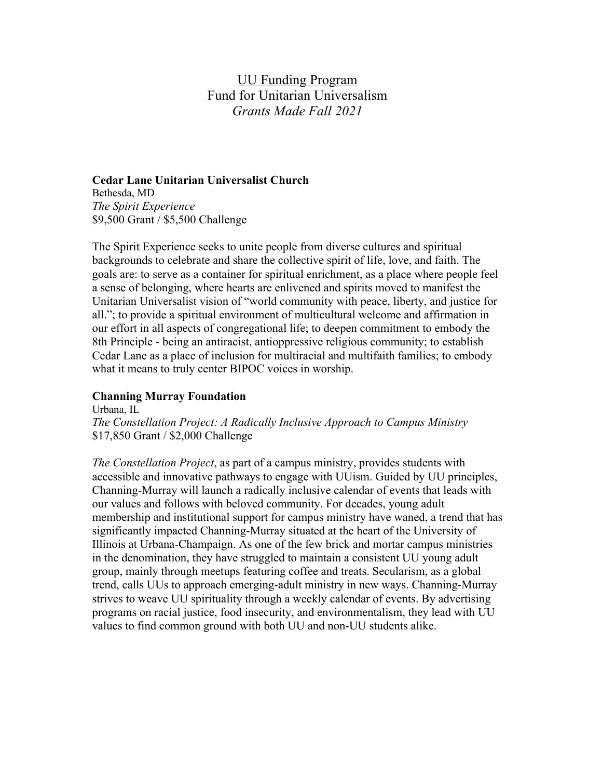# UU Funding Program Fund for Unitarian Universalism *Grants Made Fall 2021*

#### **Cedar Lane Unitarian Universalist Church**

Bethesda, MD *The Spirit Experience* \$9,500 Grant / \$5,500 Challenge

The Spirit Experience seeks to unite people from diverse cultures and spiritual backgrounds to celebrate and share the collective spirit of life, love, and faith. The goals are: to serve as a container for spiritual enrichment, as a place where people feel a sense of belonging, where hearts are enlivened and spirits moved to manifest the Unitarian Universalist vision of "world community with peace, liberty, and justice for all."; to provide a spiritual environment of multicultural welcome and affirmation in our effort in all aspects of congregational life; to deepen commitment to embody the 8th Principle - being an antiracist, antioppressive religious community; to establish Cedar Lane as a place of inclusion for multiracial and multifaith families; to embody what it means to truly center BIPOC voices in worship.

## **Channing Murray Foundation**

Urbana, IL *The Constellation Project: A Radically Inclusive Approach to Campus Ministry* \$17,850 Grant / \$2,000 Challenge

*The Constellation Project*, as part of a campus ministry, provides students with accessible and innovative pathways to engage with UUism. Guided by UU principles, Channing-Murray will launch a radically inclusive calendar of events that leads with our values and follows with beloved community. For decades, young adult membership and institutional support for campus ministry have waned, a trend that has significantly impacted Channing-Murray situated at the heart of the University of Illinois at Urbana-Champaign. As one of the few brick and mortar campus ministries in the denomination, they have struggled to maintain a consistent UU young adult group, mainly through meetups featuring coffee and treats. Secularism, as a global trend, calls UUs to approach emerging-adult ministry in new ways. Channing-Murray strives to weave UU spirituality through a weekly calendar of events. By advertising programs on racial justice, food insecurity, and environmentalism, they lead with UU values to find common ground with both UU and non-UU students alike.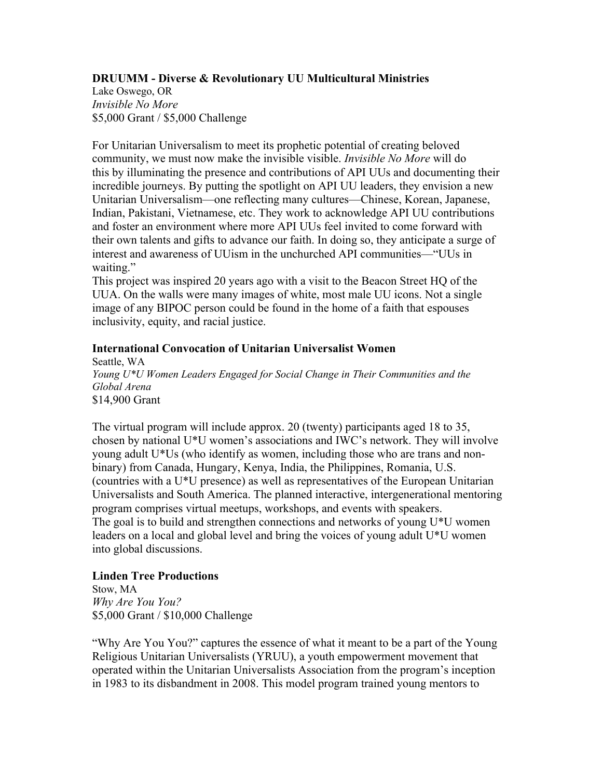## **DRUUMM - Diverse & Revolutionary UU Multicultural Ministries**

Lake Oswego, OR *Invisible No More* \$5,000 Grant / \$5,000 Challenge

For Unitarian Universalism to meet its prophetic potential of creating beloved community, we must now make the invisible visible. *Invisible No More* will do this by illuminating the presence and contributions of API UUs and documenting their incredible journeys. By putting the spotlight on API UU leaders, they envision a new Unitarian Universalism—one reflecting many cultures—Chinese, Korean, Japanese, Indian, Pakistani, Vietnamese, etc. They work to acknowledge API UU contributions and foster an environment where more API UUs feel invited to come forward with their own talents and gifts to advance our faith. In doing so, they anticipate a surge of interest and awareness of UUism in the unchurched API communities—"UUs in waiting."

This project was inspired 20 years ago with a visit to the Beacon Street HQ of the UUA. On the walls were many images of white, most male UU icons. Not a single image of any BIPOC person could be found in the home of a faith that espouses inclusivity, equity, and racial justice.

#### **International Convocation of Unitarian Universalist Women**

Seattle, WA *Young U\*U Women Leaders Engaged for Social Change in Their Communities and the Global Arena* \$14,900 Grant

The virtual program will include approx. 20 (twenty) participants aged 18 to 35, chosen by national U\*U women's associations and IWC's network. They will involve young adult U\*Us (who identify as women, including those who are trans and nonbinary) from Canada, Hungary, Kenya, India, the Philippines, Romania, U.S. (countries with a U\*U presence) as well as representatives of the European Unitarian Universalists and South America. The planned interactive, intergenerational mentoring program comprises virtual meetups, workshops, and events with speakers. The goal is to build and strengthen connections and networks of young U\*U women leaders on a local and global level and bring the voices of young adult U\*U women into global discussions.

#### **Linden Tree Productions**

Stow, MA *Why Are You You?* \$5,000 Grant / \$10,000 Challenge

"Why Are You You?" captures the essence of what it meant to be a part of the Young Religious Unitarian Universalists (YRUU), a youth empowerment movement that operated within the Unitarian Universalists Association from the program's inception in 1983 to its disbandment in 2008. This model program trained young mentors to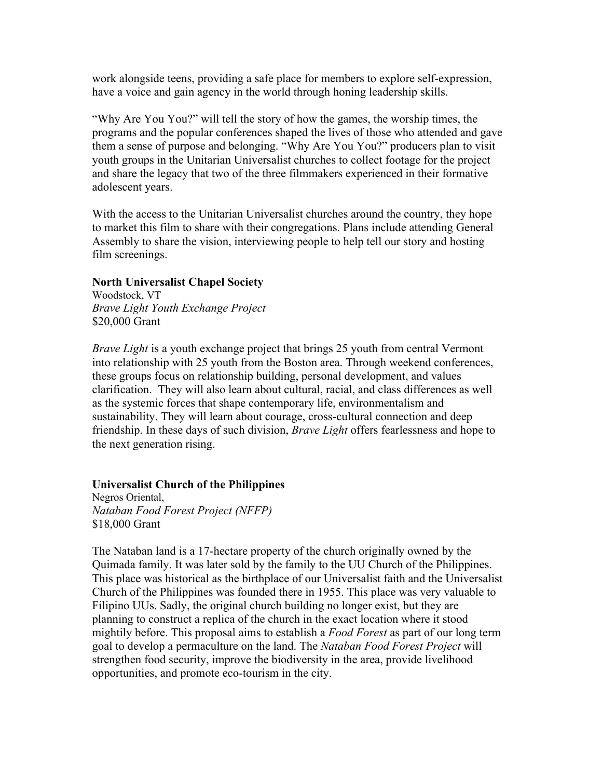work alongside teens, providing a safe place for members to explore self-expression, have a voice and gain agency in the world through honing leadership skills.

"Why Are You You?" will tell the story of how the games, the worship times, the programs and the popular conferences shaped the lives of those who attended and gave them a sense of purpose and belonging. "Why Are You You?" producers plan to visit youth groups in the Unitarian Universalist churches to collect footage for the project and share the legacy that two of the three filmmakers experienced in their formative adolescent years.

With the access to the Unitarian Universalist churches around the country, they hope to market this film to share with their congregations. Plans include attending General Assembly to share the vision, interviewing people to help tell our story and hosting film screenings.

#### **North Universalist Chapel Society**

Woodstock, VT *Brave Light Youth Exchange Project* \$20,000 Grant

*Brave Light* is a youth exchange project that brings 25 youth from central Vermont into relationship with 25 youth from the Boston area. Through weekend conferences, these groups focus on relationship building, personal development, and values clarification. They will also learn about cultural, racial, and class differences as well as the systemic forces that shape contemporary life, environmentalism and sustainability. They will learn about courage, cross-cultural connection and deep friendship. In these days of such division, *Brave Light* offers fearlessness and hope to the next generation rising.

#### **Universalist Church of the Philippines**

Negros Oriental, *Nataban Food Forest Project (NFFP)* \$18,000 Grant

The Nataban land is a 17-hectare property of the church originally owned by the Quimada family. It was later sold by the family to the UU Church of the Philippines. This place was historical as the birthplace of our Universalist faith and the Universalist Church of the Philippines was founded there in 1955. This place was very valuable to Filipino UUs. Sadly, the original church building no longer exist, but they are planning to construct a replica of the church in the exact location where it stood mightily before. This proposal aims to establish a *Food Forest* as part of our long term goal to develop a permaculture on the land. The *Nataban Food Forest Project* will strengthen food security, improve the biodiversity in the area, provide livelihood opportunities, and promote eco-tourism in the city.